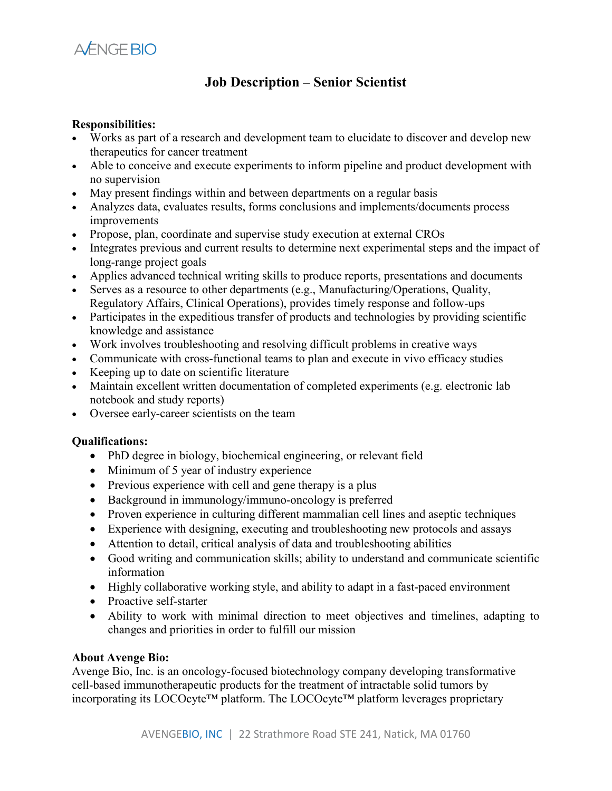

## **Job Description – Senior Scientist**

## **Responsibilities:**

- Works as part of a research and development team to elucidate to discover and develop new therapeutics for cancer treatment
- Able to conceive and execute experiments to inform pipeline and product development with no supervision
- May present findings within and between departments on a regular basis
- Analyzes data, evaluates results, forms conclusions and implements/documents process improvements
- Propose, plan, coordinate and supervise study execution at external CROs
- Integrates previous and current results to determine next experimental steps and the impact of long-range project goals
- Applies advanced technical writing skills to produce reports, presentations and documents
- Serves as a resource to other departments (e.g., Manufacturing/Operations, Quality, Regulatory Affairs, Clinical Operations), provides timely response and follow-ups
- Participates in the expeditious transfer of products and technologies by providing scientific knowledge and assistance
- Work involves troubleshooting and resolving difficult problems in creative ways
- Communicate with cross-functional teams to plan and execute in vivo efficacy studies
- Keeping up to date on scientific literature
- Maintain excellent written documentation of completed experiments (e.g. electronic lab notebook and study reports)
- Oversee early-career scientists on the team

## **Qualifications:**

- PhD degree in biology, biochemical engineering, or relevant field
- Minimum of 5 year of industry experience
- Previous experience with cell and gene therapy is a plus
- Background in immunology/immuno-oncology is preferred
- Proven experience in culturing different mammalian cell lines and aseptic techniques
- Experience with designing, executing and troubleshooting new protocols and assays
- Attention to detail, critical analysis of data and troubleshooting abilities
- Good writing and communication skills; ability to understand and communicate scientific information
- Highly collaborative working style, and ability to adapt in a fast-paced environment
- Proactive self-starter
- Ability to work with minimal direction to meet objectives and timelines, adapting to changes and priorities in order to fulfill our mission

## **About Avenge Bio:**

Avenge Bio, Inc. is an oncology-focused biotechnology company developing transformative cell-based immunotherapeutic products for the treatment of intractable solid tumors by incorporating its LOCOcyte™ platform. The LOCOcyte™ platform leverages proprietary